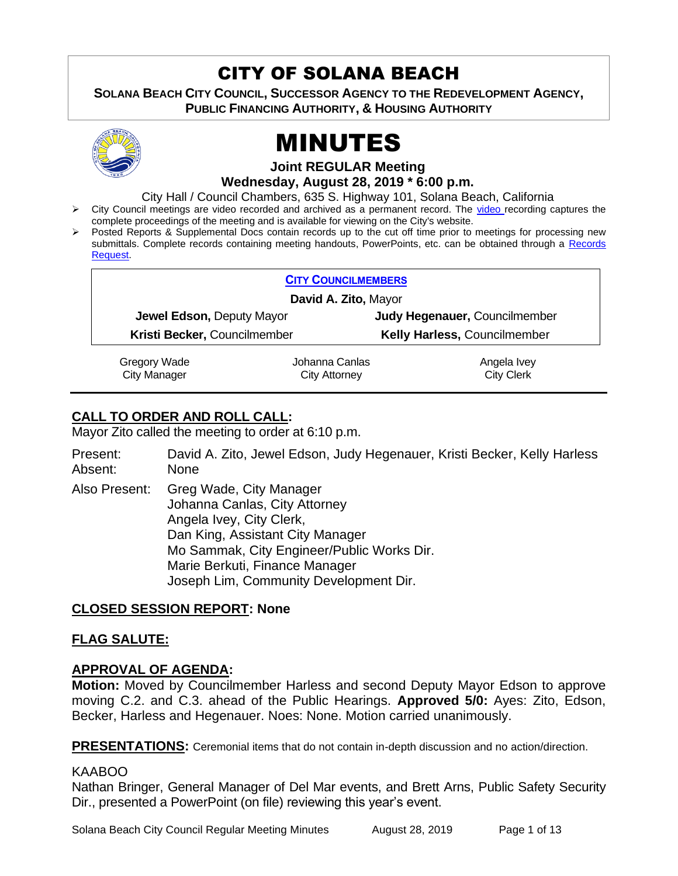# CITY OF SOLANA BEACH

**SOLANA BEACH CITY COUNCIL, SUCCESSOR AGENCY TO THE REDEVELOPMENT AGENCY, PUBLIC FINANCING AUTHORITY, & HOUSING AUTHORITY** 



# MINUTES

# **Joint REGULAR Meeting Wednesday, August 28, 2019 \* 6:00 p.m.**

City Hall / Council Chambers, 635 S. Highway 101, Solana Beach, California

- ➢ City Council meetings are video recorded and archived as a permanent record. The [video r](https://solanabeach.12milesout.com/#page=1)ecording captures the complete proceedings of the meeting and is available for viewing on the City's website.
- Posted Reports & Supplemental Docs contain records up to the cut off time prior to meetings for processing new submittals. Complete records containing meeting handouts, PowerPoints, etc. can be obtained through a Records [Request.](http://www.ci.solana-beach.ca.us/index.asp?SEC=F5D45D10-70CE-4291-A27C-7BD633FC6742&Type=B_BASIC)

|                                  | <b>CITY COUNCILMEMBERS</b> |                               |
|----------------------------------|----------------------------|-------------------------------|
| David A. Zito, Mayor             |                            |                               |
| <b>Jewel Edson, Deputy Mayor</b> |                            | Judy Hegenauer, Councilmember |
| Kristi Becker, Councilmember     |                            | Kelly Harless, Councilmember  |
| $C$ rogoni Wado                  | lohonno Conloc             | Angola <i>hiov</i>            |

Gregory Wade City Manager

Johanna Canlas City Attorney

Angela Ivey City Clerk

# **CALL TO ORDER AND ROLL CALL:**

Mayor Zito called the meeting to order at 6:10 p.m.

Present: David A. Zito, Jewel Edson, Judy Hegenauer, Kristi Becker, Kelly Harless Absent: None

Also Present: Greg Wade, City Manager Johanna Canlas, City Attorney Angela Ivey, City Clerk, Dan King, Assistant City Manager Mo Sammak, City Engineer/Public Works Dir. Marie Berkuti, Finance Manager Joseph Lim, Community Development Dir.

# **CLOSED SESSION REPORT: None**

# **FLAG SALUTE:**

# **APPROVAL OF AGENDA:**

**Motion:** Moved by Councilmember Harless and second Deputy Mayor Edson to approve moving C.2. and C.3. ahead of the Public Hearings. **Approved 5/0:** Ayes: Zito, Edson, Becker, Harless and Hegenauer. Noes: None. Motion carried unanimously.

**PRESENTATIONS:** Ceremonial items that do not contain in-depth discussion and no action/direction.

# KAABOO

Nathan Bringer, General Manager of Del Mar events, and Brett Arns, Public Safety Security Dir., presented a PowerPoint (on file) reviewing this year's event.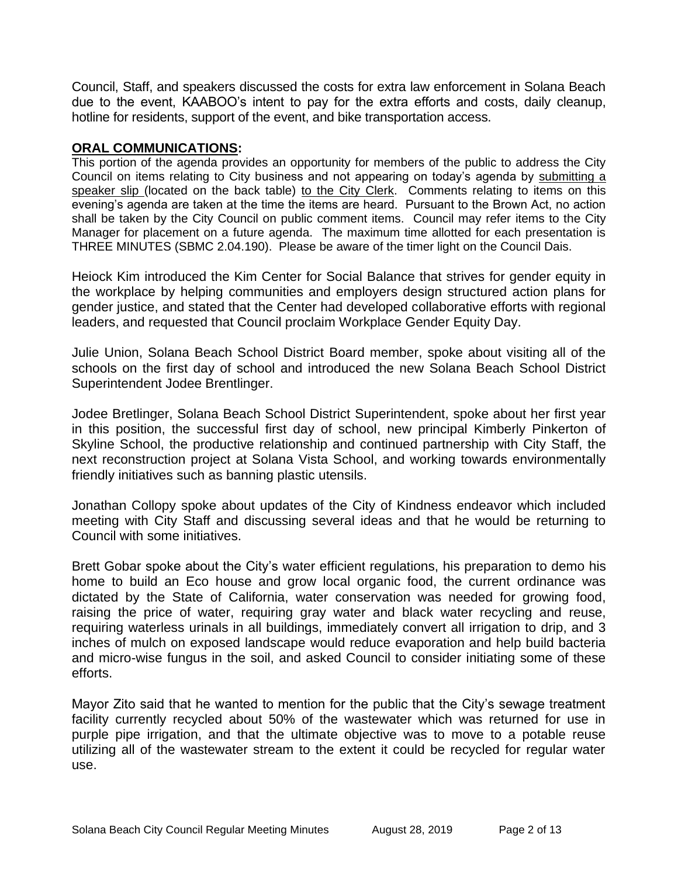Council, Staff, and speakers discussed the costs for extra law enforcement in Solana Beach due to the event, KAABOO's intent to pay for the extra efforts and costs, daily cleanup, hotline for residents, support of the event, and bike transportation access.

### **ORAL COMMUNICATIONS:**

This portion of the agenda provides an opportunity for members of the public to address the City Council on items relating to City business and not appearing on today's agenda by submitting a speaker slip (located on the back table) to the City Clerk. Comments relating to items on this evening's agenda are taken at the time the items are heard. Pursuant to the Brown Act, no action shall be taken by the City Council on public comment items. Council may refer items to the City Manager for placement on a future agenda. The maximum time allotted for each presentation is THREE MINUTES (SBMC 2.04.190). Please be aware of the timer light on the Council Dais.

Heiock Kim introduced the Kim Center for Social Balance that strives for gender equity in the workplace by helping communities and employers design structured action plans for gender justice, and stated that the Center had developed collaborative efforts with regional leaders, and requested that Council proclaim Workplace Gender Equity Day.

Julie Union, Solana Beach School District Board member, spoke about visiting all of the schools on the first day of school and introduced the new Solana Beach School District Superintendent Jodee Brentlinger.

Jodee Bretlinger, Solana Beach School District Superintendent, spoke about her first year in this position, the successful first day of school, new principal Kimberly Pinkerton of Skyline School, the productive relationship and continued partnership with City Staff, the next reconstruction project at Solana Vista School, and working towards environmentally friendly initiatives such as banning plastic utensils.

Jonathan Collopy spoke about updates of the City of Kindness endeavor which included meeting with City Staff and discussing several ideas and that he would be returning to Council with some initiatives.

Brett Gobar spoke about the City's water efficient regulations, his preparation to demo his home to build an Eco house and grow local organic food, the current ordinance was dictated by the State of California, water conservation was needed for growing food, raising the price of water, requiring gray water and black water recycling and reuse, requiring waterless urinals in all buildings, immediately convert all irrigation to drip, and 3 inches of mulch on exposed landscape would reduce evaporation and help build bacteria and micro-wise fungus in the soil, and asked Council to consider initiating some of these efforts.

Mayor Zito said that he wanted to mention for the public that the City's sewage treatment facility currently recycled about 50% of the wastewater which was returned for use in purple pipe irrigation, and that the ultimate objective was to move to a potable reuse utilizing all of the wastewater stream to the extent it could be recycled for regular water use.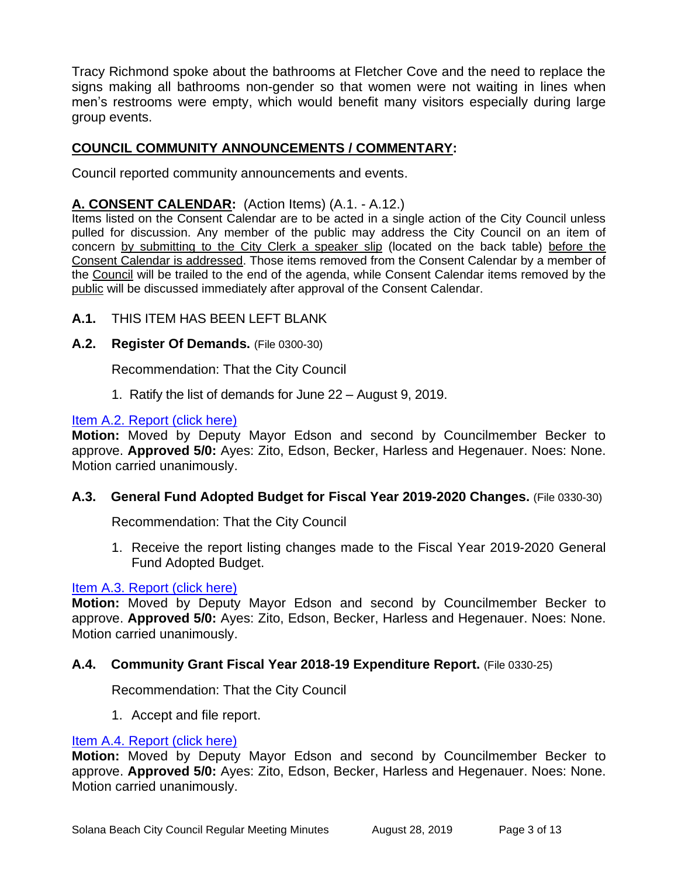Tracy Richmond spoke about the bathrooms at Fletcher Cove and the need to replace the signs making all bathrooms non-gender so that women were not waiting in lines when men's restrooms were empty, which would benefit many visitors especially during large group events.

# **COUNCIL COMMUNITY ANNOUNCEMENTS / COMMENTARY:**

Council reported community announcements and events.

# **A. CONSENT CALENDAR:** (Action Items) (A.1. - A.12.)

Items listed on the Consent Calendar are to be acted in a single action of the City Council unless pulled for discussion. Any member of the public may address the City Council on an item of concern by submitting to the City Clerk a speaker slip (located on the back table) before the Consent Calendar is addressed. Those items removed from the Consent Calendar by a member of the Council will be trailed to the end of the agenda, while Consent Calendar items removed by the public will be discussed immediately after approval of the Consent Calendar.

# **A.1.** THIS ITEM HAS BEEN LEFT BLANK

# **A.2. Register Of Demands.** (File 0300-30)

Recommendation: That the City Council

1. Ratify the list of demands for June 22 – August 9, 2019.

#### [Item A.2. Report \(click here\)](https://solanabeach.govoffice3.com/vertical/Sites/%7B840804C2-F869-4904-9AE3-720581350CE7%7D/uploads/Item_A.2._Report_(click_here)_08-28-19_-_O.pdf)

**Motion:** Moved by Deputy Mayor Edson and second by Councilmember Becker to approve. **Approved 5/0:** Ayes: Zito, Edson, Becker, Harless and Hegenauer. Noes: None. Motion carried unanimously.

# **A.3. General Fund Adopted Budget for Fiscal Year 2019-2020 Changes.** (File 0330-30)

Recommendation: That the City Council

1. Receive the report listing changes made to the Fiscal Year 2019-2020 General Fund Adopted Budget.

# [Item A.3. Report \(click here\)](https://solanabeach.govoffice3.com/vertical/Sites/%7B840804C2-F869-4904-9AE3-720581350CE7%7D/uploads/Item_A.3._Report_(click_here)_08-28-19_-_O.pdf)

**Motion:** Moved by Deputy Mayor Edson and second by Councilmember Becker to approve. **Approved 5/0:** Ayes: Zito, Edson, Becker, Harless and Hegenauer. Noes: None. Motion carried unanimously.

# **A.4. Community Grant Fiscal Year 2018-19 Expenditure Report.** (File 0330-25)

Recommendation: That the City Council

1. Accept and file report.

#### [Item A.4. Report \(click here\)](https://solanabeach.govoffice3.com/vertical/Sites/%7B840804C2-F869-4904-9AE3-720581350CE7%7D/uploads/Item_A.4._Report_(click_here)_08-28-19_-_O.pdf)

**Motion:** Moved by Deputy Mayor Edson and second by Councilmember Becker to approve. **Approved 5/0:** Ayes: Zito, Edson, Becker, Harless and Hegenauer. Noes: None. Motion carried unanimously.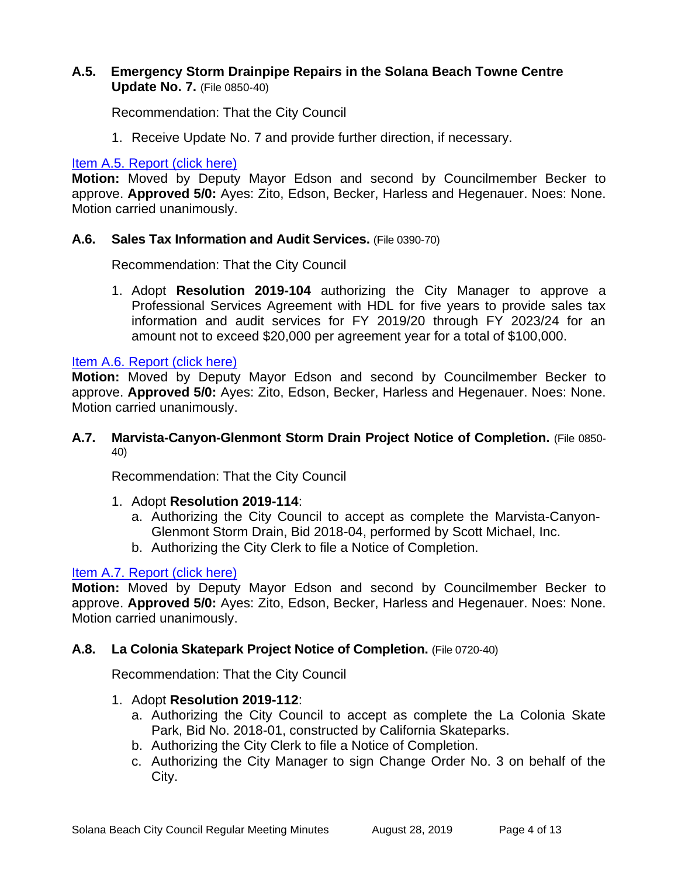# **A.5. Emergency Storm Drainpipe Repairs in the Solana Beach Towne Centre Update No. 7.** (File 0850-40)

Recommendation: That the City Council

1. Receive Update No. 7 and provide further direction, if necessary.

#### [Item A.5. Report \(click here\)](https://solanabeach.govoffice3.com/vertical/Sites/%7B840804C2-F869-4904-9AE3-720581350CE7%7D/uploads/Item_A.5._Report_(click_here)_08-28-19_-_O.pdf)

**Motion:** Moved by Deputy Mayor Edson and second by Councilmember Becker to approve. **Approved 5/0:** Ayes: Zito, Edson, Becker, Harless and Hegenauer. Noes: None. Motion carried unanimously.

#### **A.6. Sales Tax Information and Audit Services.** (File 0390-70)

Recommendation: That the City Council

1. Adopt **Resolution 2019-104** authorizing the City Manager to approve a Professional Services Agreement with HDL for five years to provide sales tax information and audit services for FY 2019/20 through FY 2023/24 for an amount not to exceed \$20,000 per agreement year for a total of \$100,000.

#### [Item A.6. Report \(click here\)](https://solanabeach.govoffice3.com/vertical/Sites/%7B840804C2-F869-4904-9AE3-720581350CE7%7D/uploads/Item_A.6._Report_(click_here)_08-28-19_-_O.pdf)

**Motion:** Moved by Deputy Mayor Edson and second by Councilmember Becker to approve. **Approved 5/0:** Ayes: Zito, Edson, Becker, Harless and Hegenauer. Noes: None. Motion carried unanimously.

#### **A.7. Marvista-Canyon-Glenmont Storm Drain Project Notice of Completion.** (File 0850- 40)

Recommendation: That the City Council

- 1. Adopt **Resolution 2019-114**:
	- a. Authorizing the City Council to accept as complete the Marvista-Canyon-Glenmont Storm Drain, Bid 2018-04, performed by Scott Michael, Inc.
	- b. Authorizing the City Clerk to file a Notice of Completion.

# [Item A.7. Report \(click here\)](https://solanabeach.govoffice3.com/vertical/Sites/%7B840804C2-F869-4904-9AE3-720581350CE7%7D/uploads/Item_A.7._Report_(click_here)_08-28-19_-_O.pdf)

**Motion:** Moved by Deputy Mayor Edson and second by Councilmember Becker to approve. **Approved 5/0:** Ayes: Zito, Edson, Becker, Harless and Hegenauer. Noes: None. Motion carried unanimously.

# **A.8. La Colonia Skatepark Project Notice of Completion.** (File 0720-40)

Recommendation: That the City Council

- 1. Adopt **Resolution 2019-112**:
	- a. Authorizing the City Council to accept as complete the La Colonia Skate Park, Bid No. 2018-01, constructed by California Skateparks.
	- b. Authorizing the City Clerk to file a Notice of Completion.
	- c. Authorizing the City Manager to sign Change Order No. 3 on behalf of the City.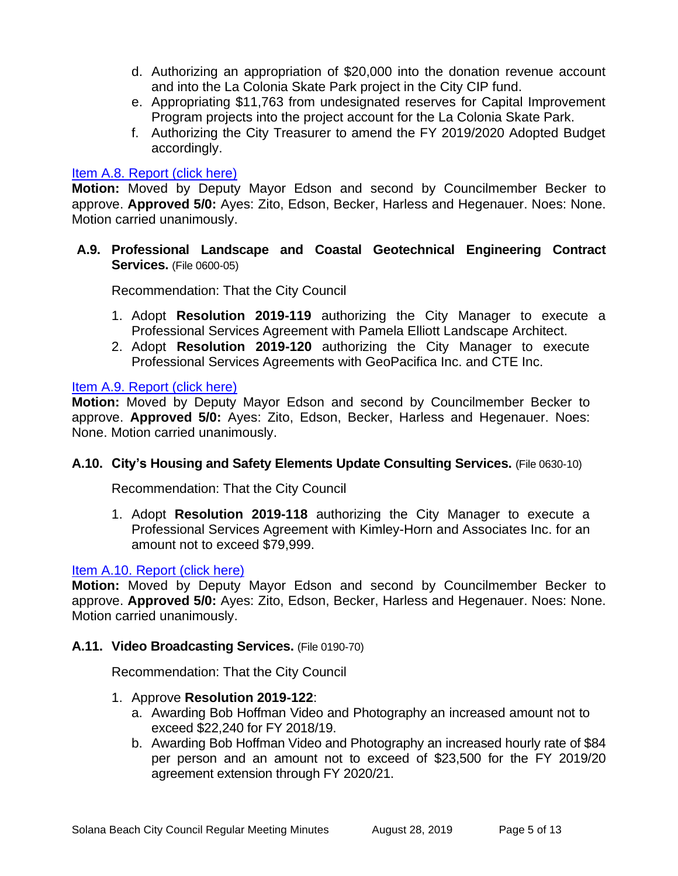- d. Authorizing an appropriation of \$20,000 into the donation revenue account and into the La Colonia Skate Park project in the City CIP fund.
- e. Appropriating \$11,763 from undesignated reserves for Capital Improvement Program projects into the project account for the La Colonia Skate Park.
- f. Authorizing the City Treasurer to amend the FY 2019/2020 Adopted Budget accordingly.

#### Item A.8. Report (click here)

**Motion:** Moved by Deputy Mayor Edson and second by Councilmember Becker to approve. **Approved 5/0:** Ayes: Zito, Edson, Becker, Harless and Hegenauer. Noes: None. Motion carried unanimously.

**A.9. Professional Landscape and Coastal Geotechnical Engineering Contract Services.** (File 0600-05)

Recommendation: That the City Council

- 1. Adopt **Resolution 2019-119** authorizing the City Manager to execute a Professional Services Agreement with Pamela Elliott Landscape Architect.
- 2. Adopt **Resolution 2019-120** authorizing the City Manager to execute Professional Services Agreements with GeoPacifica Inc. and CTE Inc.

#### [Item A.9. Report \(click here\)](https://solanabeach.govoffice3.com/vertical/Sites/%7B840804C2-F869-4904-9AE3-720581350CE7%7D/uploads/Item_A.9._Report_(click_here)_08-28-19_-_O.pdf)

**Motion:** Moved by Deputy Mayor Edson and second by Councilmember Becker to approve. **Approved 5/0:** Ayes: Zito, Edson, Becker, Harless and Hegenauer. Noes: None. Motion carried unanimously.

# **A.10. City's Housing and Safety Elements Update Consulting Services.** (File 0630-10)

Recommendation: That the City Council

1. Adopt **Resolution 2019-118** authorizing the City Manager to execute a Professional Services Agreement with Kimley-Horn and Associates Inc. for an amount not to exceed \$79,999.

#### [Item A.10. Report \(click here\)](https://solanabeach.govoffice3.com/vertical/Sites/%7B840804C2-F869-4904-9AE3-720581350CE7%7D/uploads/Item_A.10._Report_(click_here)_08-28-19_-_O.pdf)

**Motion:** Moved by Deputy Mayor Edson and second by Councilmember Becker to approve. **Approved 5/0:** Ayes: Zito, Edson, Becker, Harless and Hegenauer. Noes: None. Motion carried unanimously.

#### **A.11. Video Broadcasting Services.** (File 0190-70)

Recommendation: That the City Council

- 1. Approve **Resolution 2019-122**:
	- a. Awarding Bob Hoffman Video and Photography an increased amount not to exceed \$22,240 for FY 2018/19.
	- b. Awarding Bob Hoffman Video and Photography an increased hourly rate of \$84 per person and an amount not to exceed of \$23,500 for the FY 2019/20 agreement extension through FY 2020/21.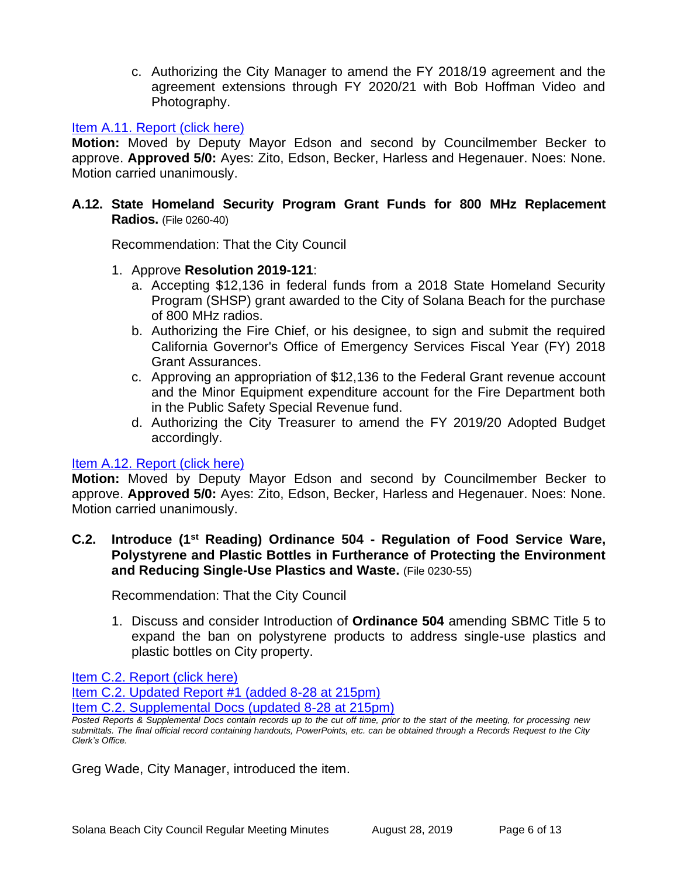c. Authorizing the City Manager to amend the FY 2018/19 agreement and the agreement extensions through FY 2020/21 with Bob Hoffman Video and Photography.

#### [Item A.11. Report \(click here\)](https://solanabeach.govoffice3.com/vertical/Sites/%7B840804C2-F869-4904-9AE3-720581350CE7%7D/uploads/Item_A.11._Report_(click_here)_08-28-19_-_O.pdf)

**Motion:** Moved by Deputy Mayor Edson and second by Councilmember Becker to approve. **Approved 5/0:** Ayes: Zito, Edson, Becker, Harless and Hegenauer. Noes: None. Motion carried unanimously.

# **A.12. State Homeland Security Program Grant Funds for 800 MHz Replacement Radios.** (File 0260-40)

Recommendation: That the City Council

- 1. Approve **Resolution 2019-121**:
	- a. Accepting \$12,136 in federal funds from a 2018 State Homeland Security Program (SHSP) grant awarded to the City of Solana Beach for the purchase of 800 MHz radios.
	- b. Authorizing the Fire Chief, or his designee, to sign and submit the required California Governor's Office of Emergency Services Fiscal Year (FY) 2018 Grant Assurances.
	- c. Approving an appropriation of \$12,136 to the Federal Grant revenue account and the Minor Equipment expenditure account for the Fire Department both in the Public Safety Special Revenue fund.
	- d. Authorizing the City Treasurer to amend the FY 2019/20 Adopted Budget accordingly.

#### [Item A.12. Report \(click here\)](https://solanabeach.govoffice3.com/vertical/Sites/%7B840804C2-F869-4904-9AE3-720581350CE7%7D/uploads/Item_A.12._Report_(click_here)_08-28-19_-_O.pdf)

**Motion:** Moved by Deputy Mayor Edson and second by Councilmember Becker to approve. **Approved 5/0:** Ayes: Zito, Edson, Becker, Harless and Hegenauer. Noes: None. Motion carried unanimously.

#### **C.2. Introduce (1 st Reading) Ordinance 504 - Regulation of Food Service Ware, Polystyrene and Plastic Bottles in Furtherance of Protecting the Environment and Reducing Single-Use Plastics and Waste.** (File 0230-55)

Recommendation: That the City Council

1. Discuss and consider Introduction of **Ordinance 504** amending SBMC Title 5 to expand the ban on polystyrene products to address single-use plastics and plastic bottles on City property.

[Item C.2. Report \(click here\)](https://solanabeach.govoffice3.com/vertical/Sites/%7B840804C2-F869-4904-9AE3-720581350CE7%7D/uploads/Item_C.2._Report_(click_here)_08-28-19_-_O.pdf) 

[Item C.2. Updated Report #1 \(added 8-28 at 215pm\)](https://solanabeach.govoffice3.com/vertical/Sites/%7B840804C2-F869-4904-9AE3-720581350CE7%7D/uploads/Item_C.2._Updated_Report_1_(upd._8-28_at_140pm)_-_O.pdf)

[Item C.2. Supplemental Docs \(updated 8-28 at 215pm\)](https://solanabeach.govoffice3.com/vertical/Sites/%7B840804C2-F869-4904-9AE3-720581350CE7%7D/uploads/Item_C.2._Supplemental_Docs_(Upd._8-28_at_2pm)_-_O.pdf)

Greg Wade, City Manager, introduced the item.

*Posted Reports & Supplemental Docs contain records up to the cut off time, prior to the start of the meeting, for processing new submittals. The final official record containing handouts, PowerPoints, etc. can be obtained through a Records Request to the City Clerk's Office.*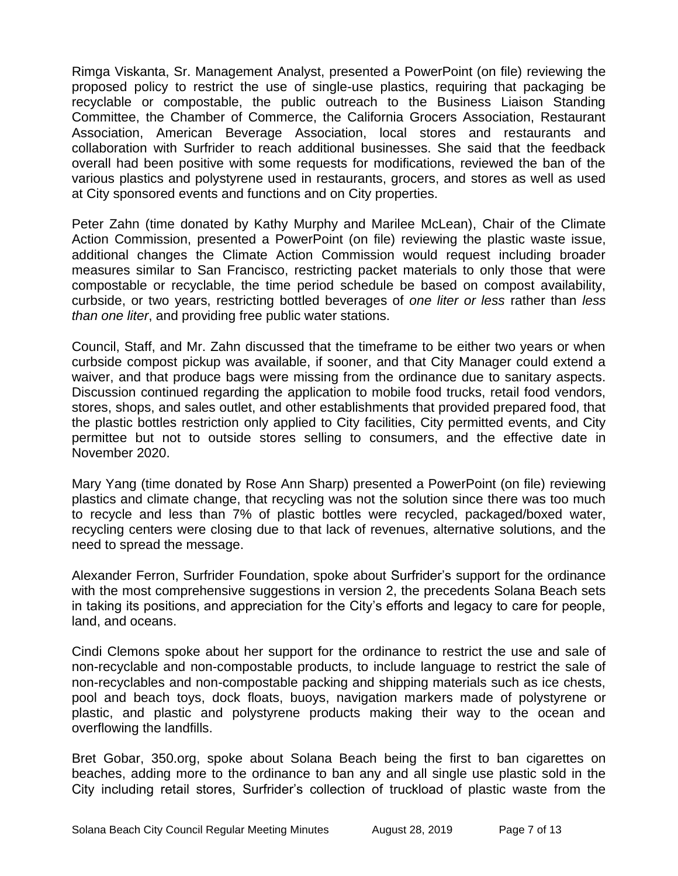Rimga Viskanta, Sr. Management Analyst, presented a PowerPoint (on file) reviewing the proposed policy to restrict the use of single-use plastics, requiring that packaging be recyclable or compostable, the public outreach to the Business Liaison Standing Committee, the Chamber of Commerce, the California Grocers Association, Restaurant Association, American Beverage Association, local stores and restaurants and collaboration with Surfrider to reach additional businesses. She said that the feedback overall had been positive with some requests for modifications, reviewed the ban of the various plastics and polystyrene used in restaurants, grocers, and stores as well as used at City sponsored events and functions and on City properties.

Peter Zahn (time donated by Kathy Murphy and Marilee McLean), Chair of the Climate Action Commission, presented a PowerPoint (on file) reviewing the plastic waste issue, additional changes the Climate Action Commission would request including broader measures similar to San Francisco, restricting packet materials to only those that were compostable or recyclable, the time period schedule be based on compost availability, curbside, or two years, restricting bottled beverages of *one liter or less* rather than *less than one liter*, and providing free public water stations.

Council, Staff, and Mr. Zahn discussed that the timeframe to be either two years or when curbside compost pickup was available, if sooner, and that City Manager could extend a waiver, and that produce bags were missing from the ordinance due to sanitary aspects. Discussion continued regarding the application to mobile food trucks, retail food vendors, stores, shops, and sales outlet, and other establishments that provided prepared food, that the plastic bottles restriction only applied to City facilities, City permitted events, and City permittee but not to outside stores selling to consumers, and the effective date in November 2020.

Mary Yang (time donated by Rose Ann Sharp) presented a PowerPoint (on file) reviewing plastics and climate change, that recycling was not the solution since there was too much to recycle and less than 7% of plastic bottles were recycled, packaged/boxed water, recycling centers were closing due to that lack of revenues, alternative solutions, and the need to spread the message.

Alexander Ferron, Surfrider Foundation, spoke about Surfrider's support for the ordinance with the most comprehensive suggestions in version 2, the precedents Solana Beach sets in taking its positions, and appreciation for the City's efforts and legacy to care for people, land, and oceans.

Cindi Clemons spoke about her support for the ordinance to restrict the use and sale of non-recyclable and non-compostable products, to include language to restrict the sale of non-recyclables and non-compostable packing and shipping materials such as ice chests, pool and beach toys, dock floats, buoys, navigation markers made of polystyrene or plastic, and plastic and polystyrene products making their way to the ocean and overflowing the landfills.

Bret Gobar, 350.org, spoke about Solana Beach being the first to ban cigarettes on beaches, adding more to the ordinance to ban any and all single use plastic sold in the City including retail stores, Surfrider's collection of truckload of plastic waste from the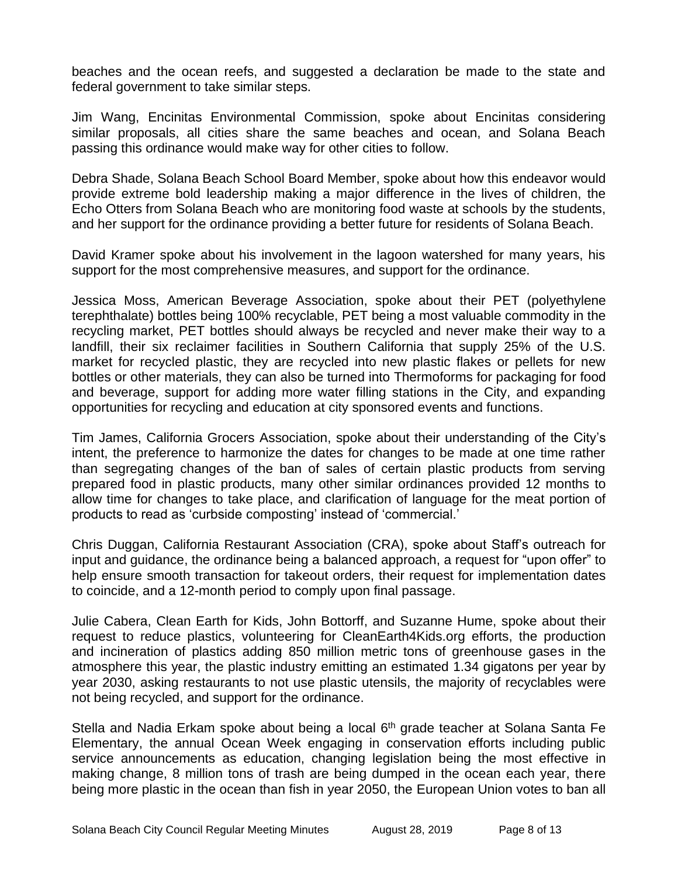beaches and the ocean reefs, and suggested a declaration be made to the state and federal government to take similar steps.

Jim Wang, Encinitas Environmental Commission, spoke about Encinitas considering similar proposals, all cities share the same beaches and ocean, and Solana Beach passing this ordinance would make way for other cities to follow.

Debra Shade, Solana Beach School Board Member, spoke about how this endeavor would provide extreme bold leadership making a major difference in the lives of children, the Echo Otters from Solana Beach who are monitoring food waste at schools by the students, and her support for the ordinance providing a better future for residents of Solana Beach.

David Kramer spoke about his involvement in the lagoon watershed for many years, his support for the most comprehensive measures, and support for the ordinance.

Jessica Moss, American Beverage Association, spoke about their PET (polyethylene terephthalate) bottles being 100% recyclable, PET being a most valuable commodity in the recycling market, PET bottles should always be recycled and never make their way to a landfill, their six reclaimer facilities in Southern California that supply 25% of the U.S. market for recycled plastic, they are recycled into new plastic flakes or pellets for new bottles or other materials, they can also be turned into Thermoforms for packaging for food and beverage, support for adding more water filling stations in the City, and expanding opportunities for recycling and education at city sponsored events and functions.

Tim James, California Grocers Association, spoke about their understanding of the City's intent, the preference to harmonize the dates for changes to be made at one time rather than segregating changes of the ban of sales of certain plastic products from serving prepared food in plastic products, many other similar ordinances provided 12 months to allow time for changes to take place, and clarification of language for the meat portion of products to read as 'curbside composting' instead of 'commercial.'

Chris Duggan, California Restaurant Association (CRA), spoke about Staff's outreach for input and guidance, the ordinance being a balanced approach, a request for "upon offer" to help ensure smooth transaction for takeout orders, their request for implementation dates to coincide, and a 12-month period to comply upon final passage.

Julie Cabera, Clean Earth for Kids, John Bottorff, and Suzanne Hume, spoke about their request to reduce plastics, volunteering for CleanEarth4Kids.org efforts, the production and incineration of plastics adding 850 million metric tons of greenhouse gases in the atmosphere this year, the plastic industry emitting an estimated 1.34 gigatons per year by year 2030, asking restaurants to not use plastic utensils, the majority of recyclables were not being recycled, and support for the ordinance.

Stella and Nadia Erkam spoke about being a local 6<sup>th</sup> grade teacher at Solana Santa Fe Elementary, the annual Ocean Week engaging in conservation efforts including public service announcements as education, changing legislation being the most effective in making change, 8 million tons of trash are being dumped in the ocean each year, there being more plastic in the ocean than fish in year 2050, the European Union votes to ban all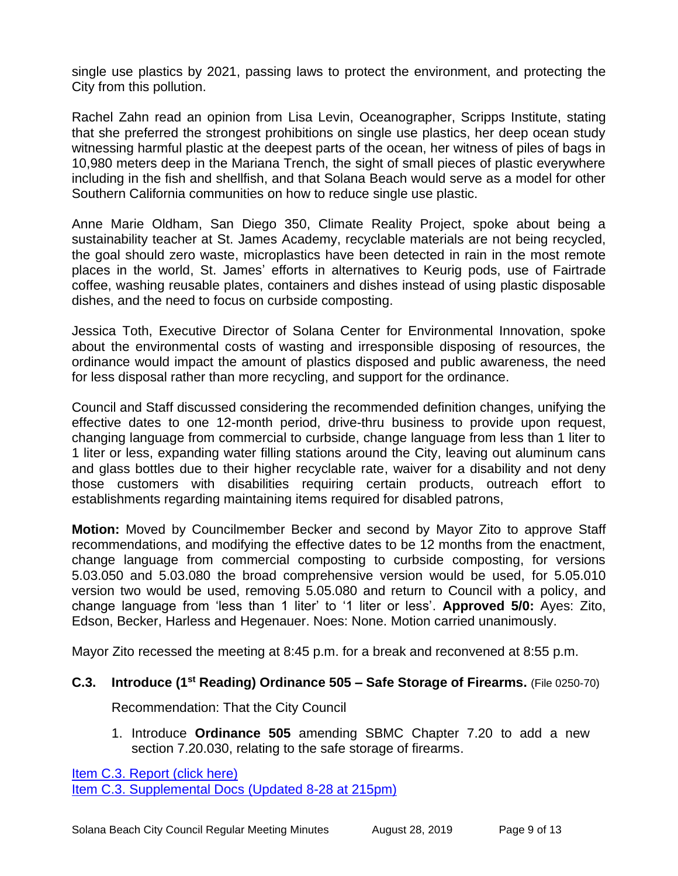single use plastics by 2021, passing laws to protect the environment, and protecting the City from this pollution.

Rachel Zahn read an opinion from Lisa Levin, Oceanographer, Scripps Institute, stating that she preferred the strongest prohibitions on single use plastics, her deep ocean study witnessing harmful plastic at the deepest parts of the ocean, her witness of piles of bags in 10,980 meters deep in the Mariana Trench, the sight of small pieces of plastic everywhere including in the fish and shellfish, and that Solana Beach would serve as a model for other Southern California communities on how to reduce single use plastic.

Anne Marie Oldham, San Diego 350, Climate Reality Project, spoke about being a sustainability teacher at St. James Academy, recyclable materials are not being recycled, the goal should zero waste, microplastics have been detected in rain in the most remote places in the world, St. James' efforts in alternatives to Keurig pods, use of Fairtrade coffee, washing reusable plates, containers and dishes instead of using plastic disposable dishes, and the need to focus on curbside composting.

Jessica Toth, Executive Director of Solana Center for Environmental Innovation, spoke about the environmental costs of wasting and irresponsible disposing of resources, the ordinance would impact the amount of plastics disposed and public awareness, the need for less disposal rather than more recycling, and support for the ordinance.

Council and Staff discussed considering the recommended definition changes, unifying the effective dates to one 12-month period, drive-thru business to provide upon request, changing language from commercial to curbside, change language from less than 1 liter to 1 liter or less, expanding water filling stations around the City, leaving out aluminum cans and glass bottles due to their higher recyclable rate, waiver for a disability and not deny those customers with disabilities requiring certain products, outreach effort to establishments regarding maintaining items required for disabled patrons,

**Motion:** Moved by Councilmember Becker and second by Mayor Zito to approve Staff recommendations, and modifying the effective dates to be 12 months from the enactment, change language from commercial composting to curbside composting, for versions 5.03.050 and 5.03.080 the broad comprehensive version would be used, for 5.05.010 version two would be used, removing 5.05.080 and return to Council with a policy, and change language from 'less than 1 liter' to '1 liter or less'. **Approved 5/0:** Ayes: Zito, Edson, Becker, Harless and Hegenauer. Noes: None. Motion carried unanimously.

Mayor Zito recessed the meeting at 8:45 p.m. for a break and reconvened at 8:55 p.m.

# **C.3. Introduce (1 st Reading) Ordinance 505 – Safe Storage of Firearms.** (File 0250-70)

Recommendation: That the City Council

1. Introduce **Ordinance 505** amending SBMC Chapter 7.20 to add a new section 7.20.030, relating to the safe storage of firearms.

[Item C.3. Report \(click here\)](https://solanabeach.govoffice3.com/vertical/Sites/%7B840804C2-F869-4904-9AE3-720581350CE7%7D/uploads/Item_C.3._Report_(click_here)_08-28-19_-_O.pdf)  [Item C.3. Supplemental Docs \(Updated 8-28 at 215pm\)](https://solanabeach.govoffice3.com/vertical/Sites/%7B840804C2-F869-4904-9AE3-720581350CE7%7D/uploads/Item_C.3._Supplemental_Docs_(Upd._8-28_-_2pm)_-_O.pdf)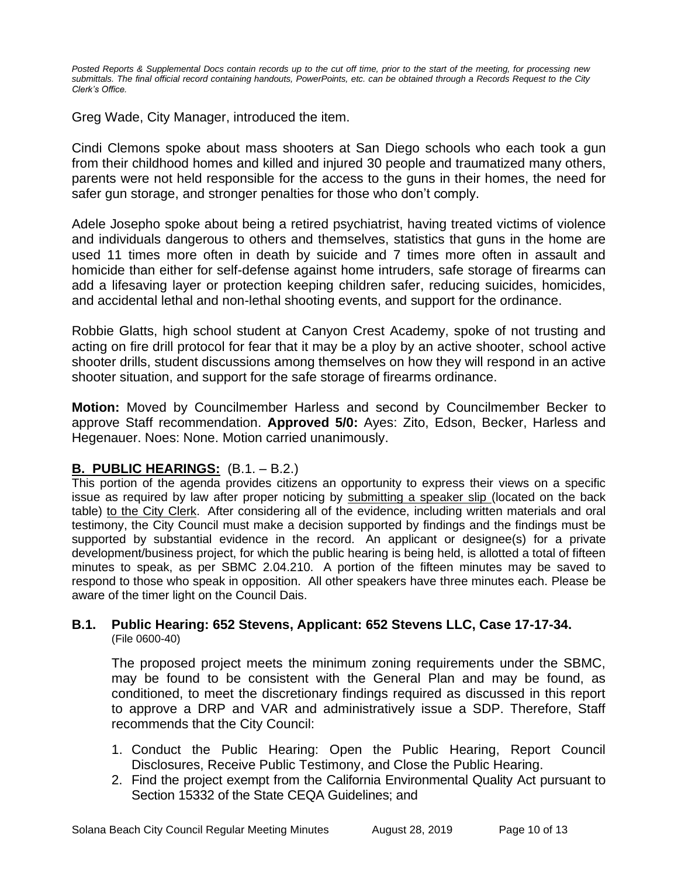*Posted Reports & Supplemental Docs contain records up to the cut off time, prior to the start of the meeting, for processing new submittals. The final official record containing handouts, PowerPoints, etc. can be obtained through a Records Request to the City Clerk's Office.*

Greg Wade, City Manager, introduced the item.

Cindi Clemons spoke about mass shooters at San Diego schools who each took a gun from their childhood homes and killed and injured 30 people and traumatized many others, parents were not held responsible for the access to the guns in their homes, the need for safer gun storage, and stronger penalties for those who don't comply.

Adele Josepho spoke about being a retired psychiatrist, having treated victims of violence and individuals dangerous to others and themselves, statistics that guns in the home are used 11 times more often in death by suicide and 7 times more often in assault and homicide than either for self-defense against home intruders, safe storage of firearms can add a lifesaving layer or protection keeping children safer, reducing suicides, homicides, and accidental lethal and non-lethal shooting events, and support for the ordinance.

Robbie Glatts, high school student at Canyon Crest Academy, spoke of not trusting and acting on fire drill protocol for fear that it may be a ploy by an active shooter, school active shooter drills, student discussions among themselves on how they will respond in an active shooter situation, and support for the safe storage of firearms ordinance.

**Motion:** Moved by Councilmember Harless and second by Councilmember Becker to approve Staff recommendation. **Approved 5/0:** Ayes: Zito, Edson, Becker, Harless and Hegenauer. Noes: None. Motion carried unanimously.

# **B. PUBLIC HEARINGS:** (B.1. – B.2.)

This portion of the agenda provides citizens an opportunity to express their views on a specific issue as required by law after proper noticing by submitting a speaker slip (located on the back table) to the City Clerk. After considering all of the evidence, including written materials and oral testimony, the City Council must make a decision supported by findings and the findings must be supported by substantial evidence in the record. An applicant or designee(s) for a private development/business project, for which the public hearing is being held, is allotted a total of fifteen minutes to speak, as per SBMC 2.04.210. A portion of the fifteen minutes may be saved to respond to those who speak in opposition. All other speakers have three minutes each. Please be aware of the timer light on the Council Dais.

#### **B.1. Public Hearing: 652 Stevens, Applicant: 652 Stevens LLC, Case 17-17-34.** (File 0600-40)

The proposed project meets the minimum zoning requirements under the SBMC, may be found to be consistent with the General Plan and may be found, as conditioned, to meet the discretionary findings required as discussed in this report to approve a DRP and VAR and administratively issue a SDP. Therefore, Staff recommends that the City Council:

- 1. Conduct the Public Hearing: Open the Public Hearing, Report Council Disclosures, Receive Public Testimony, and Close the Public Hearing.
- 2. Find the project exempt from the California Environmental Quality Act pursuant to Section 15332 of the State CEQA Guidelines; and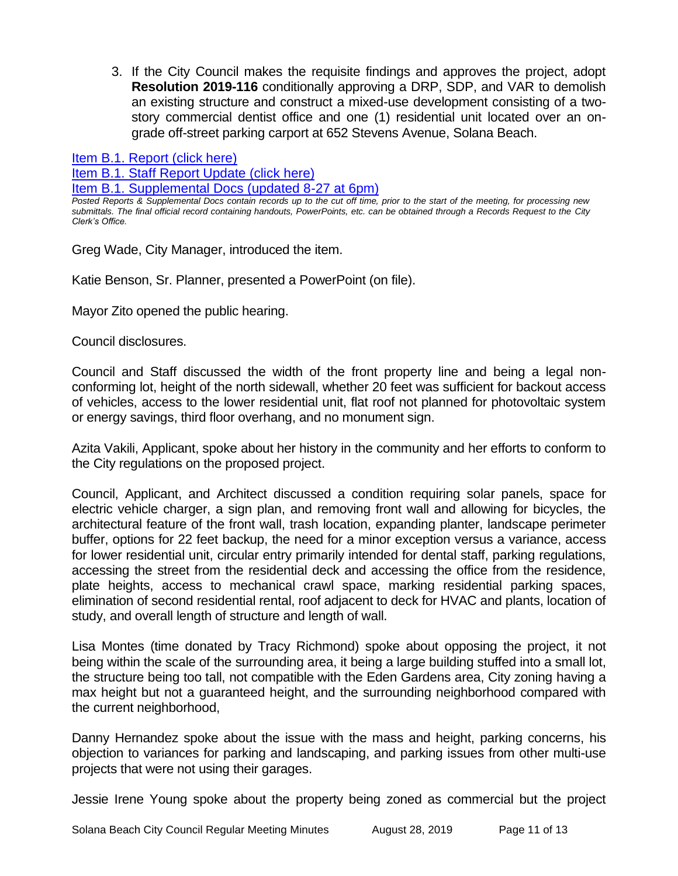3. If the City Council makes the requisite findings and approves the project, adopt **Resolution 2019-116** conditionally approving a DRP, SDP, and VAR to demolish an existing structure and construct a mixed-use development consisting of a twostory commercial dentist office and one (1) residential unit located over an ongrade off-street parking carport at 652 Stevens Avenue, Solana Beach.

[Item B.1. Report \(click here\)](https://solanabeach.govoffice3.com/vertical/Sites/%7B840804C2-F869-4904-9AE3-720581350CE7%7D/uploads/Item_B.1._Report_(click_here)_08-28-19_-_O.pdf)  [Item B.1. Staff Report Update \(click here\)](https://solanabeach.govoffice3.com/vertical/Sites/%7B840804C2-F869-4904-9AE3-720581350CE7%7D/uploads/B.1._Staff_Report_Update_1_(2).pdf)  [Item B.1. Supplemental Docs \(updated 8-27 at 6pm\)](https://solanabeach.govoffice3.com/vertical/Sites/%7B840804C2-F869-4904-9AE3-720581350CE7%7D/uploads/Item_B.1._Supplemental_Docs_(Upd_8-27_at_1230pm).pdf)

*Posted Reports & Supplemental Docs contain records up to the cut off time, prior to the start of the meeting, for processing new submittals. The final official record containing handouts, PowerPoints, etc. can be obtained through a Records Request to the City Clerk's Office.*

Greg Wade, City Manager, introduced the item.

Katie Benson, Sr. Planner, presented a PowerPoint (on file).

Mayor Zito opened the public hearing.

Council disclosures.

Council and Staff discussed the width of the front property line and being a legal nonconforming lot, height of the north sidewall, whether 20 feet was sufficient for backout access of vehicles, access to the lower residential unit, flat roof not planned for photovoltaic system or energy savings, third floor overhang, and no monument sign.

Azita Vakili, Applicant, spoke about her history in the community and her efforts to conform to the City regulations on the proposed project.

Council, Applicant, and Architect discussed a condition requiring solar panels, space for electric vehicle charger, a sign plan, and removing front wall and allowing for bicycles, the architectural feature of the front wall, trash location, expanding planter, landscape perimeter buffer, options for 22 feet backup, the need for a minor exception versus a variance, access for lower residential unit, circular entry primarily intended for dental staff, parking regulations, accessing the street from the residential deck and accessing the office from the residence, plate heights, access to mechanical crawl space, marking residential parking spaces, elimination of second residential rental, roof adjacent to deck for HVAC and plants, location of study, and overall length of structure and length of wall.

Lisa Montes (time donated by Tracy Richmond) spoke about opposing the project, it not being within the scale of the surrounding area, it being a large building stuffed into a small lot, the structure being too tall, not compatible with the Eden Gardens area, City zoning having a max height but not a guaranteed height, and the surrounding neighborhood compared with the current neighborhood,

Danny Hernandez spoke about the issue with the mass and height, parking concerns, his objection to variances for parking and landscaping, and parking issues from other multi-use projects that were not using their garages.

Jessie Irene Young spoke about the property being zoned as commercial but the project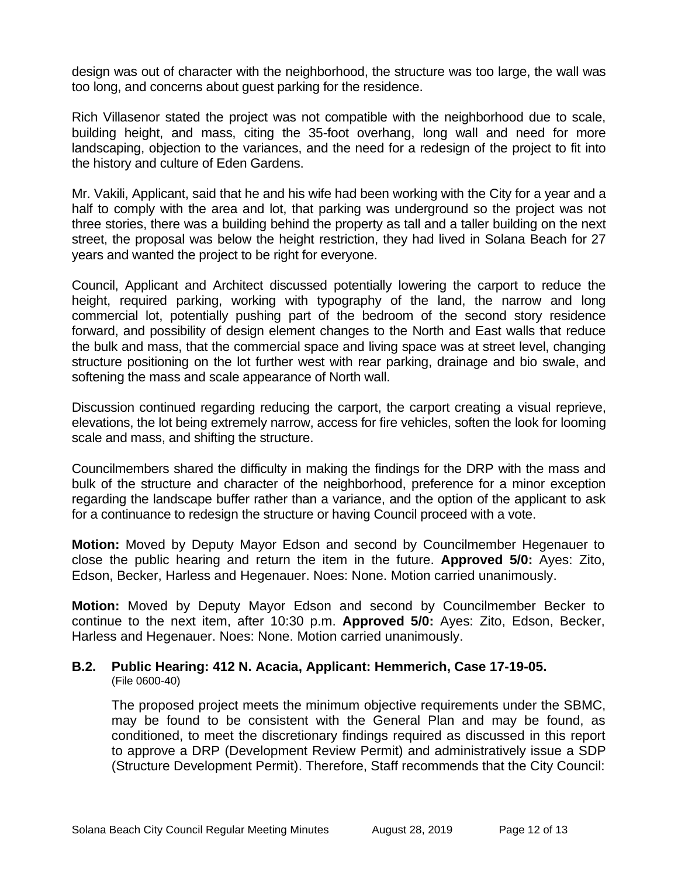design was out of character with the neighborhood, the structure was too large, the wall was too long, and concerns about guest parking for the residence.

Rich Villasenor stated the project was not compatible with the neighborhood due to scale, building height, and mass, citing the 35-foot overhang, long wall and need for more landscaping, objection to the variances, and the need for a redesign of the project to fit into the history and culture of Eden Gardens.

Mr. Vakili, Applicant, said that he and his wife had been working with the City for a year and a half to comply with the area and lot, that parking was underground so the project was not three stories, there was a building behind the property as tall and a taller building on the next street, the proposal was below the height restriction, they had lived in Solana Beach for 27 years and wanted the project to be right for everyone.

Council, Applicant and Architect discussed potentially lowering the carport to reduce the height, required parking, working with typography of the land, the narrow and long commercial lot, potentially pushing part of the bedroom of the second story residence forward, and possibility of design element changes to the North and East walls that reduce the bulk and mass, that the commercial space and living space was at street level, changing structure positioning on the lot further west with rear parking, drainage and bio swale, and softening the mass and scale appearance of North wall.

Discussion continued regarding reducing the carport, the carport creating a visual reprieve, elevations, the lot being extremely narrow, access for fire vehicles, soften the look for looming scale and mass, and shifting the structure.

Councilmembers shared the difficulty in making the findings for the DRP with the mass and bulk of the structure and character of the neighborhood, preference for a minor exception regarding the landscape buffer rather than a variance, and the option of the applicant to ask for a continuance to redesign the structure or having Council proceed with a vote.

**Motion:** Moved by Deputy Mayor Edson and second by Councilmember Hegenauer to close the public hearing and return the item in the future. **Approved 5/0:** Ayes: Zito, Edson, Becker, Harless and Hegenauer. Noes: None. Motion carried unanimously.

**Motion:** Moved by Deputy Mayor Edson and second by Councilmember Becker to continue to the next item, after 10:30 p.m. **Approved 5/0:** Ayes: Zito, Edson, Becker, Harless and Hegenauer. Noes: None. Motion carried unanimously.

#### **B.2. Public Hearing: 412 N. Acacia, Applicant: Hemmerich, Case 17-19-05.** (File 0600-40)

The proposed project meets the minimum objective requirements under the SBMC, may be found to be consistent with the General Plan and may be found, as conditioned, to meet the discretionary findings required as discussed in this report to approve a DRP (Development Review Permit) and administratively issue a SDP (Structure Development Permit). Therefore, Staff recommends that the City Council: